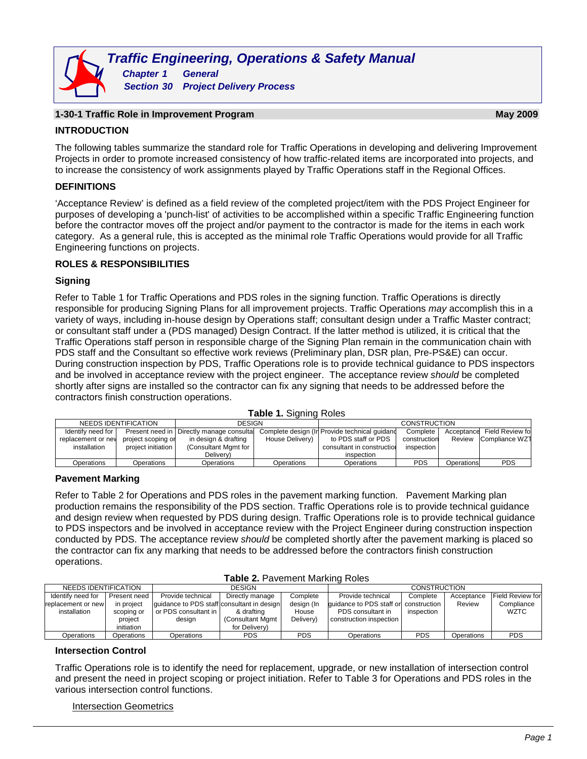# **1-30-1 Traffic Role in Improvement Program May 2009**

# **INTRODUCTION**

The following tables summarize the standard role for Traffic Operations in developing and delivering Improvement Projects in order to promote increased consistency of how traffic-related items are incorporated into projects, and to increase the consistency of work assignments played by Traffic Operations staff in the Regional Offices.

# **DEFINITIONS**

'Acceptance Review' is defined as a field review of the completed project/item with the PDS Project Engineer for purposes of developing a 'punch-list' of activities to be accomplished within a specific Traffic Engineering function before the contractor moves off the project and/or payment to the contractor is made for the items in each work category. As a general rule, this is accepted as the minimal role Traffic Operations would provide for all Traffic Engineering functions on projects.

# **ROLES & RESPONSIBILITIES**

#### **Signing**

Refer to Table 1 for Traffic Operations and PDS roles in the signing function. Traffic Operations is directly responsible for producing Signing Plans for all improvement projects. Traffic Operations *may* accomplish this in a variety of ways, including in-house design by Operations staff; consultant design under a Traffic Master contract; or consultant staff under a (PDS managed) Design Contract. If the latter method is utilized, it is critical that the Traffic Operations staff person in responsible charge of the Signing Plan remain in the communication chain with PDS staff and the Consultant so effective work reviews (Preliminary plan, DSR plan, Pre-PS&E) can occur. During construction inspection by PDS, Traffic Operations role is to provide technical guidance to PDS inspectors and be involved in acceptance review with the project engineer. The acceptance review *should* be completed shortly after signs are installed so the contractor can fix any signing that needs to be addressed before the contractors finish construction operations.

|  | Table 1. Signing Roles |  |
|--|------------------------|--|
|  |                        |  |

|                     | NEEDS IDENTIFICATION | DESIGN                                      |                 | <b>CONSTRUCTION</b>                           |              |            |                             |
|---------------------|----------------------|---------------------------------------------|-----------------|-----------------------------------------------|--------------|------------|-----------------------------|
| Identify need for I |                      | Present need in   Directly manage consultar |                 | Complete design (In Provide technical quidand | Complete     |            | Acceptance Field Review fol |
| replacement or nev  | project scoping or   | in design & drafting                        | House Delivery) | to PDS staff or PDS                           | construction | Review     | Compliance WZT              |
| installation        | project initiation   | (Consultant Mgmt for                        |                 | consultant in construction                    | inspection   |            |                             |
|                     |                      | Deliverv)                                   |                 | inspection                                    |              |            |                             |
| Operations          | Operations           | Operations                                  | Operations      | Operations                                    | <b>PDS</b>   | Operations | <b>PDS</b>                  |

#### **Pavement Marking**

Refer to Table 2 for Operations and PDS roles in the pavement marking function. Pavement Marking plan production remains the responsibility of the PDS section. Traffic Operations role is to provide technical guidance and design review when requested by PDS during design. Traffic Operations role is to provide technical guidance to PDS inspectors and be involved in acceptance review with the Project Engineer during construction inspection conducted by PDS. The acceptance review *should* be completed shortly after the pavement marking is placed so the contractor can fix any marking that needs to be addressed before the contractors finish construction operations.

|  |  | Table 2. Pavement Marking Roles |  |  |
|--|--|---------------------------------|--|--|
|--|--|---------------------------------|--|--|

| <b>EXAMPLE:</b> EXAMPLE OF THE PROPERTY PROPERTY |              |                                            |                   |            |                                       |            |            |                  |  |  |  |
|--------------------------------------------------|--------------|--------------------------------------------|-------------------|------------|---------------------------------------|------------|------------|------------------|--|--|--|
| NEEDS IDENTIFICATION                             |              | <b>DESIGN</b>                              |                   |            | <b>CONSTRUCTION</b>                   |            |            |                  |  |  |  |
| Identify need for                                | Present need | Provide technical                          | Directly manage   | Complete   | Provide technical                     | Complete   | Acceptance | Field Review for |  |  |  |
| replacement or new                               | in project   | quidance to PDS staff consultant in design |                   | design (In | quidance to PDS staff or construction |            | Review     | Compliance       |  |  |  |
| installation                                     | scoping or   | or PDS consultant in                       | & drafting        | House      | PDS consultant in                     | inspection |            | <b>WZTC</b>      |  |  |  |
|                                                  | project      | desian                                     | (Consultant Mgmt) | Delivery)  | construction inspection               |            |            |                  |  |  |  |
|                                                  | initiation   |                                            | for Delivery)     |            |                                       |            |            |                  |  |  |  |
| Operations                                       | Operations   | Operations                                 | <b>PDS</b>        | <b>PDS</b> | Operations                            | <b>PDS</b> | Operations | <b>PDS</b>       |  |  |  |
|                                                  |              |                                            |                   |            |                                       |            |            |                  |  |  |  |

### **Intersection Control**

Traffic Operations role is to identify the need for replacement, upgrade, or new installation of intersection control and present the need in project scoping or project initiation. Refer to Table 3 for Operations and PDS roles in the various intersection control functions.

#### **Intersection Geometrics**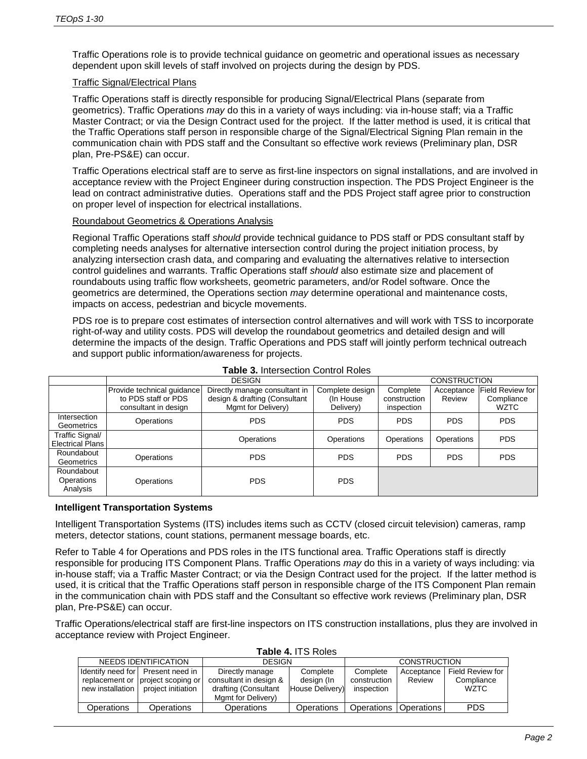Traffic Operations role is to provide technical guidance on geometric and operational issues as necessary dependent upon skill levels of staff involved on projects during the design by PDS.

### Traffic Signal/Electrical Plans

Traffic Operations staff is directly responsible for producing Signal/Electrical Plans (separate from geometrics). Traffic Operations *may* do this in a variety of ways including: via in-house staff; via a Traffic Master Contract; or via the Design Contract used for the project. If the latter method is used, it is critical that the Traffic Operations staff person in responsible charge of the Signal/Electrical Signing Plan remain in the communication chain with PDS staff and the Consultant so effective work reviews (Preliminary plan, DSR plan, Pre-PS&E) can occur.

Traffic Operations electrical staff are to serve as first-line inspectors on signal installations, and are involved in acceptance review with the Project Engineer during construction inspection. The PDS Project Engineer is the lead on contract administrative duties. Operations staff and the PDS Project staff agree prior to construction on proper level of inspection for electrical installations.

#### Roundabout Geometrics & Operations Analysis

Regional Traffic Operations staff *should* provide technical guidance to PDS staff or PDS consultant staff by completing needs analyses for alternative intersection control during the project initiation process, by analyzing intersection crash data, and comparing and evaluating the alternatives relative to intersection control guidelines and warrants. Traffic Operations staff *should* also estimate size and placement of roundabouts using traffic flow worksheets, geometric parameters, and/or Rodel software. Once the geometrics are determined, the Operations section *may* determine operational and maintenance costs, impacts on access, pedestrian and bicycle movements.

PDS roe is to prepare cost estimates of intersection control alternatives and will work with TSS to incorporate right-of-way and utility costs. PDS will develop the roundabout geometrics and detailed design and will determine the impacts of the design. Traffic Operations and PDS staff will jointly perform technical outreach and support public information/awareness for projects.

|                         |                            | <b>DESIGN</b>                 |                 | <b>CONSTRUCTION</b> |            |                         |  |
|-------------------------|----------------------------|-------------------------------|-----------------|---------------------|------------|-------------------------|--|
|                         | Provide technical guidance | Directly manage consultant in | Complete design | Complete            | Acceptance | <b>Field Review for</b> |  |
|                         | to PDS staff or PDS        | design & drafting (Consultant | (In House       | construction        | Review     | Compliance              |  |
|                         | consultant in design       | Mamt for Delivery)            | Delivery)       | inspection          |            | <b>WZTC</b>             |  |
| Intersection            | Operations                 | <b>PDS</b>                    | <b>PDS</b>      | <b>PDS</b>          | <b>PDS</b> | <b>PDS</b>              |  |
| Geometrics              |                            |                               |                 |                     |            |                         |  |
| Traffic Signal/         |                            | Operations                    | Operations      | Operations          | Operations | <b>PDS</b>              |  |
| <b>Electrical Plans</b> |                            |                               |                 |                     |            |                         |  |
| Roundabout              |                            | <b>PDS</b>                    | <b>PDS</b>      | <b>PDS</b>          | <b>PDS</b> | <b>PDS</b>              |  |
| Geometrics              | Operations                 |                               |                 |                     |            |                         |  |
| Roundabout              |                            |                               |                 |                     |            |                         |  |
| Operations              | Operations                 | <b>PDS</b>                    | <b>PDS</b>      |                     |            |                         |  |
| Analysis                |                            |                               |                 |                     |            |                         |  |

#### **Table 3.** Intersection Control Roles

#### **Intelligent Transportation Systems**

Intelligent Transportation Systems (ITS) includes items such as CCTV (closed circuit television) cameras, ramp meters, detector stations, count stations, permanent message boards, etc.

Refer to Table 4 for Operations and PDS roles in the ITS functional area. Traffic Operations staff is directly responsible for producing ITS Component Plans. Traffic Operations *may* do this in a variety of ways including: via in-house staff; via a Traffic Master Contract; or via the Design Contract used for the project. If the latter method is used, it is critical that the Traffic Operations staff person in responsible charge of the ITS Component Plan remain in the communication chain with PDS staff and the Consultant so effective work reviews (Preliminary plan, DSR plan, Pre-PS&E) can occur.

Traffic Operations/electrical staff are first-line inspectors on ITS construction installations, plus they are involved in acceptance review with Project Engineer.

#### NEEDS IDENTIFICATION | DESIGN | DESIGN | CONSTRUCTION Identify need for replacement or project scoping or new installation Present need in project initiation Directly manage consultant in design & drafting (Consultant Mgmt for Delivery) **Complete** design (In House Delivery) **Complete** construction inspection Acceptance Review Field Review for **Compliance WZTC** Operations Operations Operations Operations Operations Operations PDS

#### **Table 4.** ITS Roles